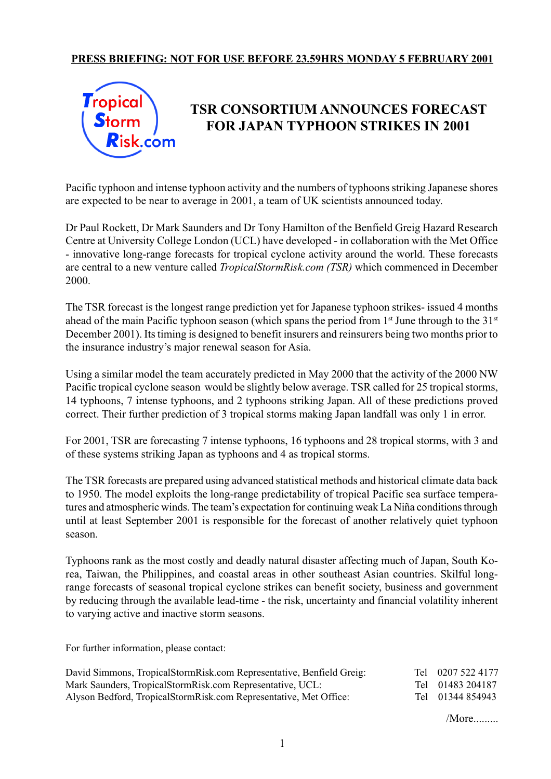## **PRESS BRIEFING: NOT FOR USE BEFORE 23.59HRS MONDAY 5 FEBRUARY 2001**



## **TSR CONSORTIUM ANNOUNCES FORECAST FOR JAPAN TYPHOON STRIKES IN 2001**

Pacific typhoon and intense typhoon activity and the numbers of typhoons striking Japanese shores are expected to be near to average in 2001, a team of UK scientists announced today.

Dr Paul Rockett, Dr Mark Saunders and Dr Tony Hamilton of the Benfield Greig Hazard Research Centre at University College London (UCL) have developed - in collaboration with the Met Office - innovative long-range forecasts for tropical cyclone activity around the world. These forecasts are central to a new venture called *TropicalStormRisk.com (TSR)* which commenced in December 2000.

The TSR forecast is the longest range prediction yet for Japanese typhoon strikes- issued 4 months ahead of the main Pacific typhoon season (which spans the period from  $1<sup>st</sup>$  June through to the  $31<sup>st</sup>$ December 2001). Its timing is designed to benefit insurers and reinsurers being two months prior to the insurance industry's major renewal season for Asia.

Using a similar model the team accurately predicted in May 2000 that the activity of the 2000 NW Pacific tropical cyclone season would be slightly below average. TSR called for 25 tropical storms, 14 typhoons, 7 intense typhoons, and 2 typhoons striking Japan. All of these predictions proved correct. Their further prediction of 3 tropical storms making Japan landfall was only 1 in error.

For 2001, TSR are forecasting 7 intense typhoons, 16 typhoons and 28 tropical storms, with 3 and of these systems striking Japan as typhoons and 4 as tropical storms.

The TSR forecasts are prepared using advanced statistical methods and historical climate data back to 1950. The model exploits the long-range predictability of tropical Pacific sea surface temperatures and atmospheric winds. The team's expectation for continuing weak La Niña conditions through until at least September 2001 is responsible for the forecast of another relatively quiet typhoon season.

Typhoons rank as the most costly and deadly natural disaster affecting much of Japan, South Korea, Taiwan, the Philippines, and coastal areas in other southeast Asian countries. Skilful longrange forecasts of seasonal tropical cyclone strikes can benefit society, business and government by reducing through the available lead-time - the risk, uncertainty and financial volatility inherent to varying active and inactive storm seasons.

For further information, please contact:

| David Simmons, TropicalStormRisk.com Representative, Benfield Greig: | Tel 0207 522 4177 |
|----------------------------------------------------------------------|-------------------|
| Mark Saunders, TropicalStormRisk.com Representative, UCL:            | Tel 01483 204187  |
| Alyson Bedford, TropicalStormRisk.com Representative, Met Office:    | Tel 01344 854943  |

*More.........*